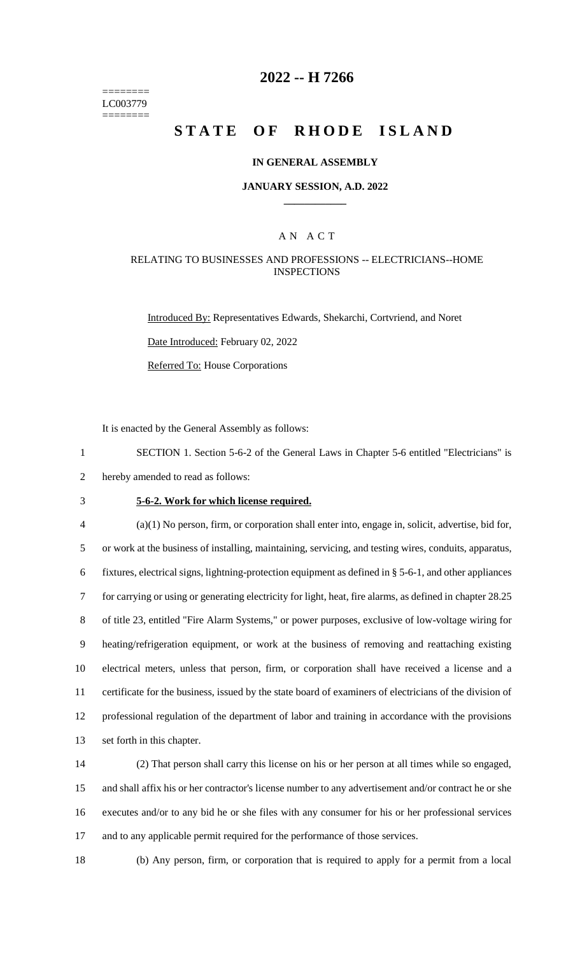======== LC003779 ========

## **2022 -- H 7266**

# **STATE OF RHODE ISLAND**

### **IN GENERAL ASSEMBLY**

### **JANUARY SESSION, A.D. 2022 \_\_\_\_\_\_\_\_\_\_\_\_**

### A N A C T

### RELATING TO BUSINESSES AND PROFESSIONS -- ELECTRICIANS--HOME **INSPECTIONS**

Introduced By: Representatives Edwards, Shekarchi, Cortvriend, and Noret Date Introduced: February 02, 2022 Referred To: House Corporations

It is enacted by the General Assembly as follows:

1 SECTION 1. Section 5-6-2 of the General Laws in Chapter 5-6 entitled "Electricians" is 2 hereby amended to read as follows:

## 3 **5-6-2. Work for which license required.**

 (a)(1) No person, firm, or corporation shall enter into, engage in, solicit, advertise, bid for, or work at the business of installing, maintaining, servicing, and testing wires, conduits, apparatus, fixtures, electrical signs, lightning-protection equipment as defined in § 5-6-1, and other appliances for carrying or using or generating electricity for light, heat, fire alarms, as defined in chapter 28.25 of title 23, entitled "Fire Alarm Systems," or power purposes, exclusive of low-voltage wiring for heating/refrigeration equipment, or work at the business of removing and reattaching existing electrical meters, unless that person, firm, or corporation shall have received a license and a certificate for the business, issued by the state board of examiners of electricians of the division of professional regulation of the department of labor and training in accordance with the provisions set forth in this chapter.

 (2) That person shall carry this license on his or her person at all times while so engaged, and shall affix his or her contractor's license number to any advertisement and/or contract he or she executes and/or to any bid he or she files with any consumer for his or her professional services 17 and to any applicable permit required for the performance of those services.

18 (b) Any person, firm, or corporation that is required to apply for a permit from a local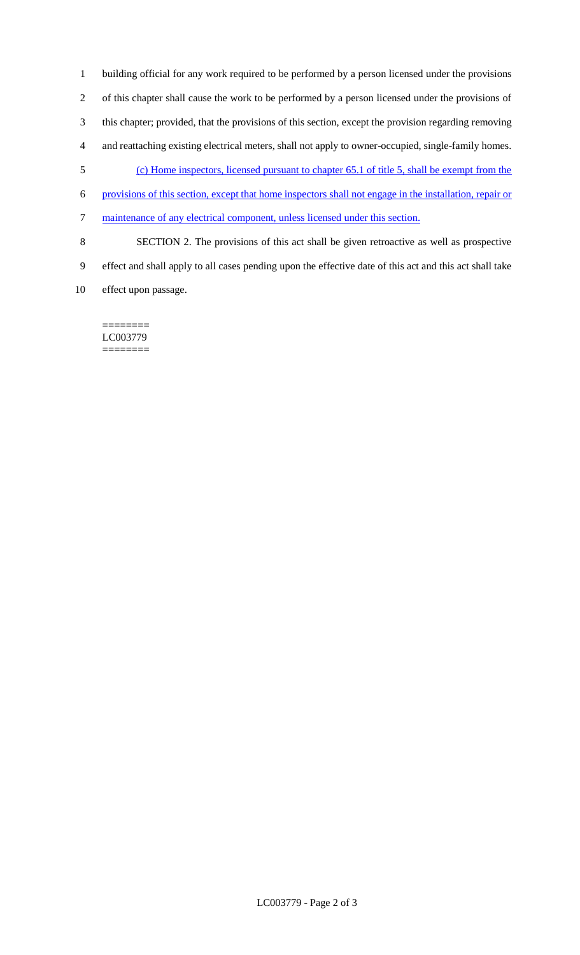building official for any work required to be performed by a person licensed under the provisions of this chapter shall cause the work to be performed by a person licensed under the provisions of this chapter; provided, that the provisions of this section, except the provision regarding removing and reattaching existing electrical meters, shall not apply to owner-occupied, single-family homes. (c) Home inspectors, licensed pursuant to chapter 65.1 of title 5, shall be exempt from the provisions of this section, except that home inspectors shall not engage in the installation, repair or maintenance of any electrical component, unless licensed under this section. SECTION 2. The provisions of this act shall be given retroactive as well as prospective effect and shall apply to all cases pending upon the effective date of this act and this act shall take

effect upon passage.

======== LC003779 ========